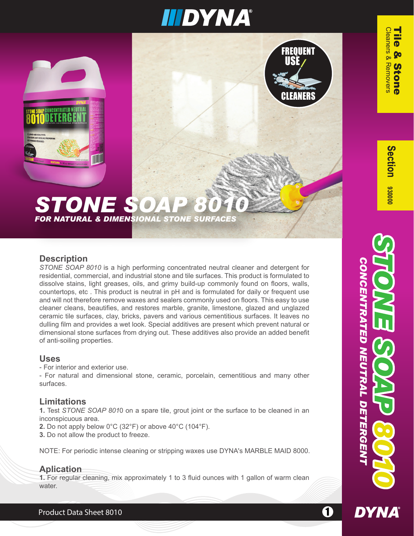

#### **STONE SOA** *FOR NATURAL & DIMENSIONAL STONE SURFACES*

#### **Description**

*STONE SOAP 8010* is a high performing concentrated neutral cleaner and detergent for residential, commercial, and industrial stone and tile surfaces. This product is formulated to dissolve stains, light greases, oils, and grimy build-up commonly found on floors, walls, countertops, etc . This product is neutral in pH and is formulated for daily or frequent use and will not therefore remove waxes and sealers commonly used on floors. This easy to use cleaner cleans, beautifies, and restores marble, granite, limestone, glazed and unglazed ceramic tile surfaces, clay, bricks, pavers and various cementitious surfaces. It leaves no dulling film and provides a wet look. Special additives are present which prevent natural or dimensional stone surfaces from drying out. These additives also provide an added benefit of anti-soiling properties.

#### **Uses**

- For interior and exterior use.

- For natural and dimensional stone, ceramic, porcelain, cementitious and many other surfaces.

#### **Limitations**

**1.** Test *STONE SOAP 801*0 on a spare tile, grout joint or the surface to be cleaned in an inconspicuous area.

**2.** Do not apply below 0°C (32°F) or above 40°C (104°F).

**3.** Do not allow the product to freeze.

NOTE: For periodic intense cleaning or stripping waxes use DYNA's MARBLE MAID 8000.

#### **Aplication**

**1.** For regular cleaning, mix approximately 1 to 3 fluid ounces with 1 gallon of warm clean water.

 $\overline{\mathbf{O}}$ **<u>Co</u>** S



Product Data Sheet 8010 11 12 12 12 13 14 15 16 17 17 18 19 19 10 11 12 13 14 15 16 17 17 17 18 19 19 19 19 1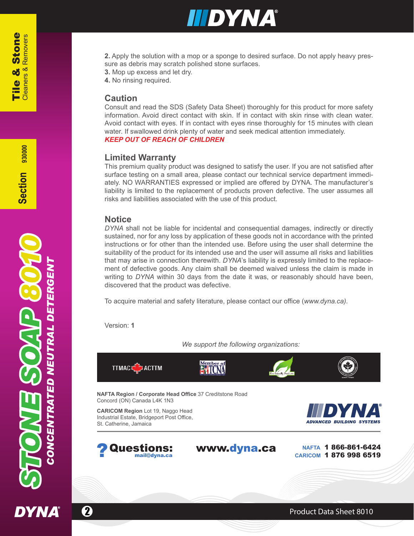

**2.** Apply the solution with a mop or a sponge to desired surface. Do not apply heavy pressure as debris may scratch polished stone surfaces.

- **3.** Mop up excess and let dry.
- **4.** No rinsing required.

#### **Caution**

Consult and read the SDS (Safety Data Sheet) thoroughly for this product for more safety information. Avoid direct contact with skin. If in contact with skin rinse with clean water. Avoid contact with eyes. If in contact with eyes rinse thoroughly for 15 minutes with clean water. If swallowed drink plenty of water and seek medical attention immediately. *KEEP OUT OF REACH OF CHILDREN*

#### **Limited Warranty**

This premium quality product was designed to satisfy the user. If you are not satisfied after surface testing on a small area, please contact our technical service department immediately. NO WARRANTIES expressed or implied are offered by DYNA. The manufacturer's liability is limited to the replacement of products proven defective. The user assumes all risks and liabilities associated with the use of this product.

#### **Notice**

*DYNA* shall not be liable for incidental and consequential damages, indirectly or directly sustained, nor for any loss by application of these goods not in accordance with the printed instructions or for other than the intended use. Before using the user shall determine the suitability of the product for its intended use and the user will assume all risks and liabilities that may arise in connection therewith. *DYNA*'s liability is expressly limited to the replacement of defective goods. Any claim shall be deemed waived unless the claim is made in writing to *DYNA* within 30 days from the date it was, or reasonably should have been, discovered that the product was defective.

To acquire material and safety literature, please contact our office (*www.dyna.ca).*

Version: **1**

*We support the following organizations:*

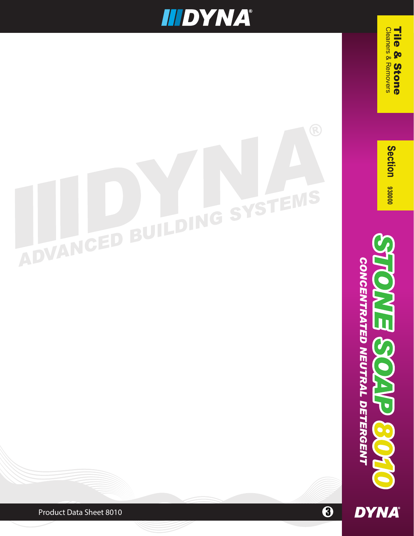### **IIIDYNA®**

# SYSTEMS ADVANCED BUILDING

CONCENTRATED NEUTRAL DETERGENT **DYNA** 

*CONCENTRATED NEUTRAL DETERGENT*

 $\overline{G}$ 

 Cleaners & Removers Tile & Stone

**Cleaners & Removers** 

Tile

& Stone

Section 93000

 $\ddot{\boldsymbol{\theta}}$ 

Product Data Sheet 8010